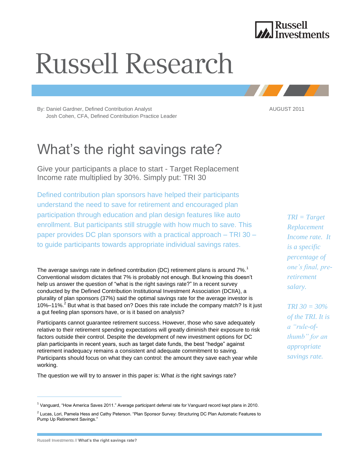

# **Russell Research**

By: Daniel Gardner, Defined Contribution Analyst AUGUST 2011 Josh Cohen, CFA, Defined Contribution Practice Leader

## What's the right savings rate?

Give your participants a place to start - Target Replacement Income rate multiplied by 30%. Simply put: TRI 30

Defined contribution plan sponsors have helped their participants understand the need to save for retirement and encouraged plan participation through education and plan design features like auto enrollment. But participants still struggle with how much to save. This paper provides DC plan sponsors with a practical approach – TRI 30 – to guide participants towards appropriate individual savings rates.

The average savings rate in defined contribution (DC) retirement plans is around  $7\%$ .<sup>1</sup> Conventional wisdom dictates that 7% is probably not enough. But knowing this doesn't help us answer the question of "what is the right savings rate?" In a recent survey conducted by the Defined Contribution Institutional Investment Association (DCIIA), a plurality of plan sponsors (37%) said the optimal savings rate for the average investor is 10%–11%.<sup>2</sup> But what is that based on? Does this rate include the company match? Is it just a gut feeling plan sponsors have, or is it based on analysis?

Participants cannot guarantee retirement success. However, those who save adequately relative to their retirement spending expectations will greatly diminish their exposure to risk factors outside their control. Despite the development of new investment options for DC plan participants in recent years, such as target date funds, the best "hedge" against retirement inadequacy remains a consistent and adequate commitment to saving. Participants should focus on what they can control: the amount they save each year while working.

The question we will try to answer in this paper is: What *is* the right savings rate?

*TRI = Target Replacement Income rate. It is a specific percentage of one's final, preretirement salary.* 

*TRI 30 = 30% of the TRI. It is a "rule-ofthumb" for an appropriate savings rate.*

<sup>&</sup>lt;sup>1</sup> Vanguard, "How America Saves 2011." Average participant deferral rate for Vanguard record kept plans in 2010.

<sup>&</sup>lt;sup>2</sup> Lucas, Lori, Pamela Hess and Cathy Peterson. "Plan Sponsor Survey: Structuring DC Plan Automatic Features to Pump Up Retirement Savings."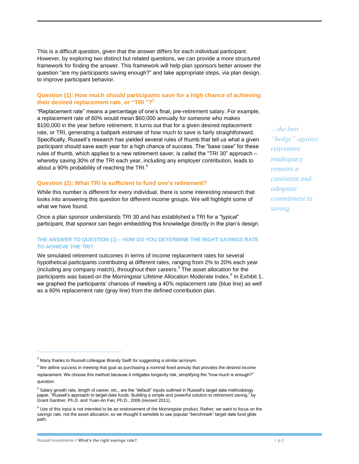This is a difficult question, given that the answer differs for each individual participant. However, by exploring two distinct but related questions, we can provide a more structured framework for finding the answer. This framework will help plan sponsors better answer the question "are my participants saving enough?" and take appropriate steps, via plan design, to improve participant behavior.

#### **Question (1): How much should participants save for a high chance of achieving their desired replacement rate, or "TRI "?<sup>3</sup>**

"Replacement rate" means a percentage of one's final, pre-retirement salary. For example, a replacement rate of 60% would mean \$60,000 annually for someone who makes \$100,000 in the year before retirement. It turns out that for a given desired replacement rate, or TRI, generating a ballpark estimate of how much to save is fairly straightforward. Specifically, Russell's research has yielded several rules of thumb that tell us what a given participant should save each year for a high chance of success. The "base case" for these rules of thumb, which applies to a new retirement saver, is called the "TRI 30" approach – whereby saving 30% of the TRI each year, including any employer contribution, leads to about a 90% probability of reaching the TRI.<sup>4</sup>

#### **Question (2): What TRI is sufficient to fund one's retirement?**

While this number is different for every individual, there is some interesting research that looks into answering this question for different income groups. We will highlight some of what we have found.

Once a plan sponsor understands TRI 30 and has established a TRI for a "typical" participant, that sponsor can begin embedding this knowledge directly in the plan's design.

#### **THE ANSWER TO QUESTION (1) – HOW DO YOU DETERMINE THE RIGHT SAVINGS RATE TO ACHIEVE THE TRI?**

We simulated retirement outcomes in terms of income replacement rates for several hypothetical participants contributing at different rates, ranging from 2% to 20% each year (including any company match), throughout their careers.<sup>5</sup> The asset allocation for the participants was based on the Morningstar Lifetime Allocation Moderate Index.<sup>6</sup> In Exhibit 1, we graphed the participants' chances of meeting a 40% replacement rate (blue line) as well as a 60% replacement rate (gray line) from the defined contribution plan.

*…the best "hedge" against retirement inadequacy remains a consistent and adequate commitment to saving.*

 $3$  Many thanks to Russell colleague Brandy Swift for suggesting a similar acronym.

 $4$  We define success in meeting that goal as purchasing a nominal fixed annuity that provides the desired income replacement. We choose this method because it mitigates longevity risk, simplifying the "how much is enough?" question.

<sup>&</sup>lt;sup>5</sup> Salary growth rate, length of career, etc., are the "default" inputs outlined in Russell's target date methodology paper, "Russell's approach to target-date funds: Building a simple and powerful solution to retirement saving," by Grant Gardner, Ph.D. and Yuan-An Fan, Ph.D., 2006 (revised 2011).

 $6$  Use of this input is not intended to be an endorsement of the Morningstar product. Rather, we want to focus on the *savings rate*, not the asset allocation, so we thought it sensible to use popular "benchmark" target date fund glide path.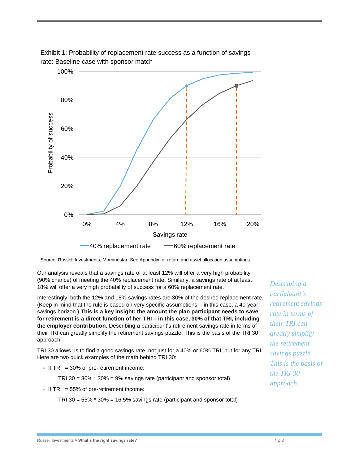



Source: Russell Investments, Morningstar. See Appendix for return and asset allocation assumptions.

Our analysis reveals that a savings rate of at least 12% will offer a very high probability (90% chance) of meeting the 40% replacement rate. Similarly, a savings rate of at least 18% will offer a very high probability of success for a 60% replacement rate.

Interestingly, both the 12% and 18% savings rates are 30% of the desired replacement rate. (Keep in mind that the rule is based on very specific assumptions – in this case, a 40-year savings horizon.) **This is a key insight: the amount the plan participant needs to save for retirement is a direct function of her TRI – in this case, 30% of that TRI, including the employer contribution.** Describing a participant's retirement savings rate in terms of their TRI can greatly simplify the retirement savings puzzle. This is the basis of the TRI 30 approach.

TRI 30 allows us to find a good savings rate, not just for a 40% or 60% TRI, but for any TRI. Here are two quick examples of the math behind TRI 30:

If TRI =  $30\%$  of pre-retirement income:

TRI 30 = 30% \* 30% = 9% savings rate (participant and sponsor total)

If TRI =  $55\%$  of pre-retirement income:

TRI 30 = 55% \* 30% = 16.5% savings rate (participant and sponsor total)

*Describing a participant's retirement savings rate in terms of their TRI can greatly simplify the retirement savings puzzle. This is the basis of the TRI 30 approach.*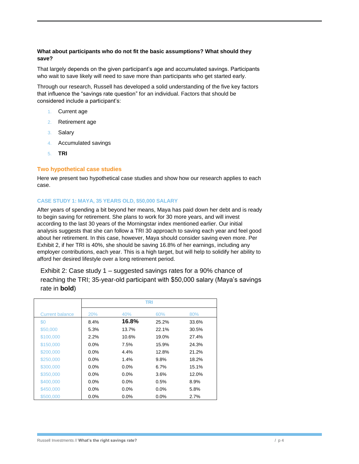#### **What about participants who do not fit the basic assumptions? What should they save?**

That largely depends on the given participant's age and accumulated savings. Participants who wait to save likely will need to save more than participants who get started early.

Through our research, Russell has developed a solid understanding of the five key factors that influence the "savings rate question" for an individual. Factors that should be considered include a participant's:

- 1. Current age
- 2. Retirement age
- 3. Salary
- 4. Accumulated savings
- 5. **TRI**

#### **Two hypothetical case studies**

Here we present two hypothetical case studies and show how our research applies to each case.

#### **CASE STUDY 1: MAYA, 35 YEARS OLD, \$50,000 SALARY**

After years of spending a bit beyond her means, Maya has paid down her debt and is ready to begin saving for retirement. She plans to work for 30 more years, and will invest according to the last 30 years of the Morningstar index mentioned earlier. Our initial analysis suggests that she can follow a TRI 30 approach to saving each year and feel good about her retirement. In this case, however, Maya should consider saving even more. Per Exhibit 2, if her TRI is 40%, she should be saving 16.8% of her earnings, including any employer contributions, each year. This is a high target, but will help to solidify her ability to afford her desired lifestyle over a long retirement period.

Exhibit 2: Case study 1 – suggested savings rates for a 90% chance of reaching the TRI; 35-year-old participant with \$50,000 salary (Maya's savings rate in **bold**)

|                        | <b>TRI</b> |         |         |       |  |  |
|------------------------|------------|---------|---------|-------|--|--|
| <b>Current balance</b> | <b>20%</b> | 40%     | 60%     | 80%   |  |  |
| \$0                    | 8.4%       | 16.8%   | 25.2%   | 33.6% |  |  |
| \$50,000               | 5.3%       | 13.7%   | 22.1%   | 30.5% |  |  |
| \$100,000              | 2.2%       | 10.6%   | 19.0%   | 27.4% |  |  |
| \$150,000              | $0.0\%$    | 7.5%    | 15.9%   | 24.3% |  |  |
| \$200,000              | $0.0\%$    | $4.4\%$ | 12.8%   | 21.2% |  |  |
| \$250,000              | $0.0\%$    | 1.4%    | 9.8%    | 18.2% |  |  |
| \$300,000              | $0.0\%$    | $0.0\%$ | 6.7%    | 15.1% |  |  |
| \$350,000              | $0.0\%$    | $0.0\%$ | 3.6%    | 12.0% |  |  |
| \$400,000              | $0.0\%$    | $0.0\%$ | 0.5%    | 8.9%  |  |  |
| \$450,000              | $0.0\%$    | $0.0\%$ | $0.0\%$ | 5.8%  |  |  |
| \$500,000              | $0.0\%$    | $0.0\%$ | $0.0\%$ | 2.7%  |  |  |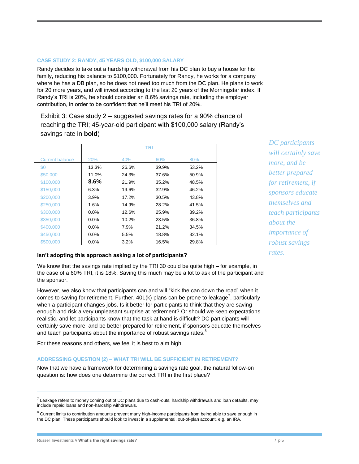#### **CASE STUDY 2: RANDY, 45 YEARS OLD, \$100,000 SALARY**

Randy decides to take out a hardship withdrawal from his DC plan to buy a house for his family, reducing his balance to \$100,000. Fortunately for Randy, he works for a company where he has a DB plan, so he does not need too much from the DC plan. He plans to work for 20 more years, and will invest according to the last 20 years of the Morningstar index. If Randy's TRI is 20%, he should consider an 8.6% savings rate, including the employer contribution, in order to be confident that he'll meet his TRI of 20%.

Exhibit 3: Case study 2 – suggested savings rates for a 90% chance of reaching the TRI; 45-year-old participant with \$100,000 salary (Randy's savings rate in **bold**)

|                        | <b>TRI</b> |       |       |       |  |  |
|------------------------|------------|-------|-------|-------|--|--|
| <b>Current balance</b> | <b>20%</b> | 40%   | 60%   | 80%   |  |  |
| \$0                    | 13.3%      | 26.6% | 39.9% | 53.2% |  |  |
| \$50,000               | 11.0%      | 24.3% | 37.6% | 50.9% |  |  |
| \$100,000              | $8.6\%$    | 21.9% | 35.2% | 48.5% |  |  |
| \$150,000              | 6.3%       | 19.6% | 32.9% | 46.2% |  |  |
| \$200,000              | $3.9\%$    | 17.2% | 30.5% | 43.8% |  |  |
| \$250,000              | 1.6%       | 14.9% | 28.2% | 41.5% |  |  |
| \$300,000              | $0.0\%$    | 12.6% | 25.9% | 39.2% |  |  |
| \$350,000              | $0.0\%$    | 10.2% | 23.5% | 36.8% |  |  |
| \$400,000              | $0.0\%$    | 7.9%  | 21.2% | 34.5% |  |  |
| \$450,000              | $0.0\%$    | 5.5%  | 18.8% | 32.1% |  |  |
| \$500,000              | $0.0\%$    | 3.2%  | 16.5% | 29.8% |  |  |

#### **Isn't adopting this approach asking a lot of participants?**

We know that the savings rate implied by the TRI 30 could be quite high – for example, in the case of a 60% TRI, it is 18%. Saving this much may be a lot to ask of the participant and the sponsor.

However, we also know that participants can and will "kick the can down the road" when it comes to saving for retirement. Further,  $401(k)$  plans can be prone to leakage<sup>7</sup>, particularly when a participant changes jobs. Is it better for participants to think that they are saving enough and risk a very unpleasant surprise at retirement? Or should we keep expectations realistic, and let participants know that the task at hand is difficult? DC participants will certainly save more, and be better prepared for retirement, if sponsors educate themselves and teach participants about the importance of robust savings rates.<sup>8</sup>

For these reasons and others, we feel it is best to aim high.

#### **ADDRESSING QUESTION (2) – WHAT TRI WILL BE SUFFICIENT IN RETIREMENT?**

Now that we have a framework for determining a savings rate goal, the natural follow-on question is: how does one determine the correct TRI in the first place?

*DC participants will certainly save more, and be better prepared for retirement, if sponsors educate themselves and teach participants about the importance of robust savings rates.*

 $\overline{a}$ 

 $^7$  Leakage refers to money coming out of DC plans due to cash-outs, hardship withdrawals and loan defaults, may include repaid loans and non-hardship withdrawals.

 $8$  Current limits to contribution amounts prevent many high-income participants from being able to save enough in the DC plan. These participants should look to invest in a supplemental, out-of-plan account, e.g. an IRA.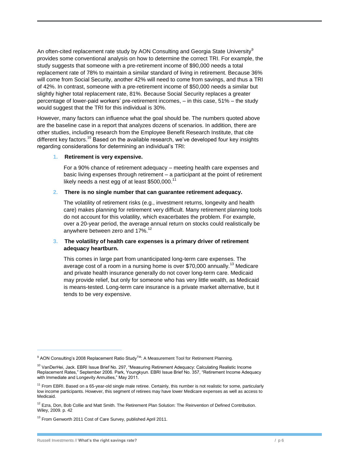An often-cited replacement rate study by AON Consulting and Georgia State University<sup>9</sup> provides some conventional analysis on how to determine the correct TRI. For example, the study suggests that someone with a pre-retirement income of \$90,000 needs a total replacement rate of 78% to maintain a similar standard of living in retirement. Because 36% will come from Social Security, another 42% will need to come from savings, and thus a TRI of 42%. In contrast, someone with a pre-retirement income of \$50,000 needs a similar but slightly higher total replacement rate, 81%. Because Social Security replaces a greater percentage of lower-paid workers' pre-retirement incomes, – in this case, 51% – the study would suggest that the TRI for this individual is 30%.

However, many factors can influence what the goal should be. The numbers quoted above are the baseline case in a report that analyzes dozens of scenarios. In addition, there are other studies, including research from the Employee Benefit Research Institute, that cite different key factors.<sup>10</sup> Based on the available research, we've developed four key insights regarding considerations for determining an individual's TRI:

#### **1. Retirement is very expensive.**

For a 90% chance of retirement adequacy – meeting health care expenses and basic living expenses through retirement – a participant at the point of retirement likely needs a nest egg of at least  $$500,000.<sup>11</sup>$ 

#### **2. There is no single number that can guarantee retirement adequacy.**

The volatility of retirement risks (e.g., investment returns, longevity and health care) makes planning for retirement very difficult. Many retirement planning tools do not account for this volatility, which exacerbates the problem. For example, over a 20-year period, the average annual return on stocks could realistically be anywhere between zero and 17%.<sup>12</sup>

#### **3. The volatility of health care expenses is a primary driver of retirement adequacy heartburn.**

This comes in large part from unanticipated long-term care expenses. The average cost of a room in a nursing home is over \$70,000 annually.<sup>13</sup> Medicare and private health insurance generally do not cover long-term care. Medicaid may provide relief, but only for someone who has very little wealth, as Medicaid is means-tested. Long-term care insurance is a private market alternative, but it tends to be very expensive.

<sup>&</sup>lt;sup>9</sup> AON Consulting's 2008 Replacement Ratio Study<sup>™</sup>: A Measurement Tool for Retirement Planning.

<sup>&</sup>lt;sup>10</sup> VanDerHei, Jack. EBRI Issue Brief No. 297, "Measuring Retirement Adequacy: Calculating Realistic Income Replacement Rates," September 2006. Park, Youngkyun. EBRI Issue Brief No. 357, "Retirement Income Adequacy with Immediate and Longevity Annuities," May 2011.

<sup>&</sup>lt;sup>11</sup> From EBRI. Based on a 65-year-old single male retiree. Certainly, this number is not realistic for some, particularly low income participants. However, this segment of retirees may have lower Medicare expenses as well as access to Medicaid.

 $12$  Ezra, Don, Bob Collie and Matt Smith. The Retirement Plan Solution: The Reinvention of Defined Contribution. Wiley, 2009. p. 42

<sup>&</sup>lt;sup>13</sup> From Genworth 2011 Cost of Care Survey, published April 2011.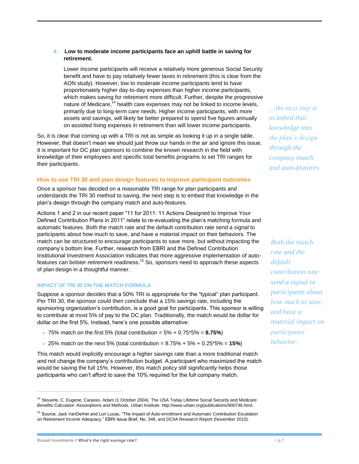#### **4. Low to moderate income participants face an uphill battle in saving for retirement***.*

Lower income participants will receive a relatively more generous Social Security benefit and have to pay relatively fewer taxes in retirement (this is clear from the AON study). However, low to moderate income participants tend to have proportionately higher day-to-day expenses than higher income participants, which makes saving for retirement more difficult. Further, despite the progressive nature of Medicare,<sup>14</sup> health care expenses may not be linked to income levels, primarily due to long-term care needs. Higher income participants, with more assets and savings, will likely be better prepared to spend five figures annually on assisted living expenses in retirement than will lower income participants.

So, it is clear that coming up with a TRI is not as simple as looking it up in a single table. However, that doesn't mean we should just throw our hands in the air and ignore this issue. It is important for DC plan sponsors to combine the known research in the field with knowledge of their employees and specific total benefits programs to set TRI ranges for their participants.

#### **How to use TRI 30 and plan design features to improve participant outcomes**

Once a sponsor has decided on a reasonable TRI range for plan participants and understands the TRI 30 method to saving, the next step is to embed that knowledge in the plan's design through the company match and auto-features.

Actions 1 and 2 in our recent paper "11 for 2011: 11 Actions Designed to Improve Your Defined Contribution Plans in 2011" relate to re-evaluating the plan's matching formula and automatic features. Both the match rate and the default contribution rate send a signal to participants about how much to save, and have a material impact on their behaviors. The match can be structured to encourage participants to save more, but without impacting the company's bottom line. Further, research from EBRI and the Defined Contribution Institutional Investment Association indicates that more aggressive implementation of autofeatures can bolster retirement readiness.<sup>15</sup> So, sponsors need to approach these aspects of plan design in a thoughtful manner.

#### **IMPACT OF TRI 30 ON THE MATCH FORMULA**

Suppose a sponsor decides that a 50% TRI is appropriate for the "typical" plan participant. Per TRI 30, the sponsor could then conclude that a 15% savings rate, including the sponsoring organization's contribution, is a good goal for participants. This sponsor is willing to contribute at most 5% of pay to the DC plan. Traditionally, the match would be dollar for dollar on the first 5%. Instead, here's one possible alternative:

- $\bullet$  75% match on the first 5% (total contribution =  $5\% + 0.75*5\% = 8.75\%)$
- 25% match on the next 5% (total contribution = 8.75% + 5% + 0.25\*5% = **15%**)

This match would implicitly encourage a higher savings rate than a more traditional match and not change the company's contribution budget. A participant who maximized the match would be saving the full 15%. However, this match policy still significantly helps those participants who can't afford to save the 10% required for the full company match.

*…the next step is to imbed that knowledge into the plan's design through the company match and auto-features.*

*Both the match rate and the default contribution rate send a signal to participants about how much to save, and have a material impact on participants' behavior.*

<sup>&</sup>lt;sup>14</sup> Steuerle, C. Eugene; Carasso, Adam (1 October 2004). The USA Today Lifetime Social Security and Medicare Benefits Calculator: Assumptions and Methods. Urban Institute. [http://www.urban.org/publications/900746.html.](http://www.urban.org/publications/900746.html)

<sup>15</sup> Source: Jack VanDerhei and Lori Lucas, "The Impact of Auto-enrollment and Automatic Contribution Escalation on Retirement Income Adequacy." EBRI Issue Brief, No. 349, and DCIIA Research Report (November 2010).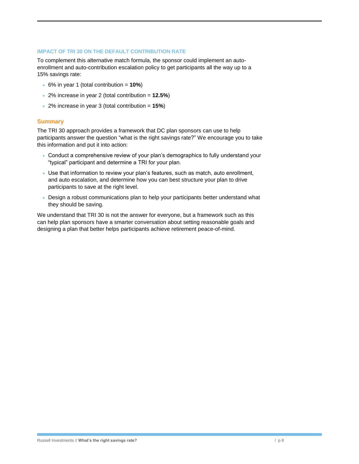#### **IMPACT OF TRI 30 ON THE DEFAULT CONTRIBUTION RATE**

To complement this alternative match formula, the sponsor could implement an autoenrollment and auto-contribution escalation policy to get participants all the way up to a 15% savings rate:

- 6% in year 1 (total contribution = **10%**)
- 2% increase in year 2 (total contribution = **12.5%**)
- 2% increase in year 3 (total contribution = **15%**)

#### **Summary**

The TRI 30 approach provides a framework that DC plan sponsors can use to help participants answer the question "what is the right savings rate?" We encourage you to take this information and put it into action:

- Conduct a comprehensive review of your plan's demographics to fully understand your "typical" participant and determine a TRI for your plan.
- Use that information to review your plan's features, such as match, auto enrollment, and auto escalation, and determine how you can best structure your plan to drive participants to save at the right level.
- Design a robust communications plan to help your participants better understand what they should be saving.

We understand that TRI 30 is not the answer for everyone, but a framework such as this can help plan sponsors have a smarter conversation about setting reasonable goals and designing a plan that better helps participants achieve retirement peace-of-mind.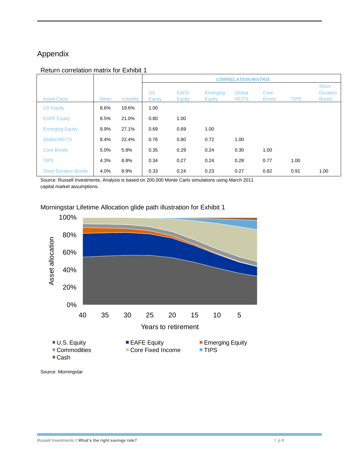### Appendix

#### Return correlation matrix for Exhibit 1

|                             |      |                   | <b>CORRELATION MATRIX</b>  |                              |                                  |                        |                      |             |                                          |
|-----------------------------|------|-------------------|----------------------------|------------------------------|----------------------------------|------------------------|----------------------|-------------|------------------------------------------|
| <b>Asset Class</b>          | Mean | <b>Volatility</b> | <b>US</b><br><b>Equity</b> | <b>EAFE</b><br><b>Equity</b> | <b>Emerging</b><br><b>Equity</b> | Global<br><b>REITS</b> | Core<br><b>Bonds</b> | <b>TIPS</b> | Short<br><b>Duration</b><br><b>Bonds</b> |
| <b>US Equity</b>            | 8.6% | 19.6%             | 1.00                       |                              |                                  |                        |                      |             |                                          |
| <b>EAFE Equity</b>          | 8.5% | 21.0%             | 0.80                       | 1.00                         |                                  |                        |                      |             |                                          |
| <b>Emerging Equity</b>      | 9.9% | 27.1%             | 0.69                       | 0.69                         | 1.00                             |                        |                      |             |                                          |
| <b>Global REITS</b>         | 8.4% | 22.4%             | 0.76                       | 0.80                         | 0.72                             | 1.00                   |                      |             |                                          |
| <b>Core Bonds</b>           | 5.0% | 5.8%              | 0.35                       | 0.29                         | 0.24                             | 0.30                   | 1.00                 |             |                                          |
| <b>TIPS</b>                 | 4.3% | 8.8%              | 0.34                       | 0.27                         | 0.24                             | 0.28                   | 0.77                 | 1.00        |                                          |
| <b>Short Duration Bonds</b> | 4.0% | 8.9%              | 0.33                       | 0.24                         | 0.23                             | 0.27                   | 0.82                 | 0.91        | 1.00                                     |

Source: Russell Investments. Analysis is based on 200,000 Monte Carlo simulations using March 2011 capital market assumptions.



Morningstar Lifetime Allocation glide path illustration for Exhibit 1

Source: Morningstar